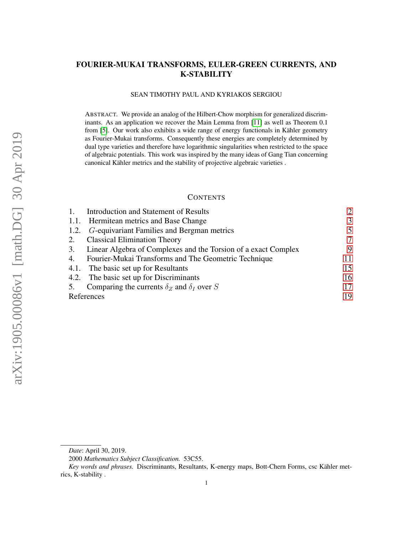# <span id="page-0-0"></span>FOURIER-MUKAI TRANSFORMS, EULER-GREEN CURRENTS, AND K-STABILITY

#### SEAN TIMOTHY PAUL AND KYRIAKOS SERGIOU

ABSTRACT. We provide an analog of the Hilbert-Chow morphism for generalized discriminants. As an application we recover the Main Lemma from [\[11\]](#page-18-0) as well as Theorem 0.1 from [\[5\]](#page-18-1). Our work also exhibits a wide range of energy functionals in Kähler geometry as Fourier-Mukai transforms. Consequently these energies are completely determined by dual type varieties and therefore have logarithmic singularities when restricted to the space of algebraic potentials. This work was inspired by the many ideas of Gang Tian concerning canonical Kähler metrics and the stability of projective algebraic varieties .

### **CONTENTS**

| Introduction and Statement of Results                          | $\overline{2}$ |
|----------------------------------------------------------------|----------------|
| 1.1. Hermitean metrics and Base Change                         | 3              |
| 1.2. <i>G</i> -equivariant Families and Bergman metrics        | 5              |
| <b>Classical Elimination Theory</b>                            | 7              |
| Linear Algebra of Complexes and the Torsion of a exact Complex | 9              |
| Fourier-Mukai Transforms and The Geometric Technique           | 11             |
| 4.1. The basic set up for Resultants                           | 15             |
| 4.2. The basic set up for Discriminants                        | 16             |
| Comparing the currents $\delta_Z$ and $\delta_I$ over S        | 17             |
| References                                                     | 19             |
|                                                                |                |

*Date*: April 30, 2019.

<sup>2000</sup> *Mathematics Subject Classification.* 53C55.

*Key words and phrases.* Discriminants, Resultants, K-energy maps, Bott-Chern Forms, csc Kähler metrics, K-stability .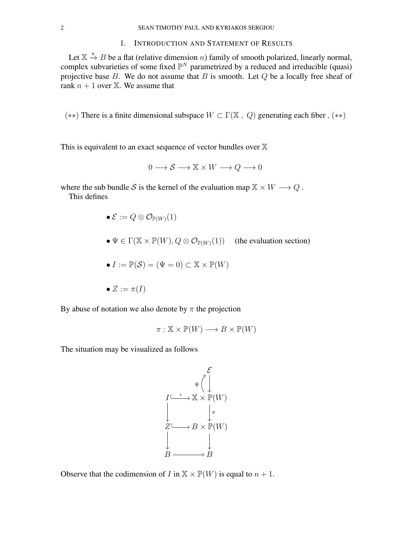## 1. INTRODUCTION AND STATEMENT OF RESULTS

<span id="page-1-0"></span>Let  $\mathbb{X} \stackrel{\pi}{\to} B$  be a flat (relative dimension *n*) family of smooth polarized, linearly normal, complex subvarieties of some fixed  $\mathbb{P}^N$  parametrized by a reduced and irreducible (quasi) projective base  $B$ . We do not assume that  $B$  is smooth. Let  $Q$  be a locally free sheaf of rank  $n + 1$  over  $X$ . We assume that

(\*\*) There is a finite dimensional subspace  $W \subset \Gamma(\mathbb{X}, Q)$  generating each fiber . (\*\*)

This is equivalent to an exact sequence of vector bundles over  $X$ 

$$
0 \longrightarrow \mathcal{S} \longrightarrow \mathbb{X} \times W \longrightarrow Q \longrightarrow 0
$$

where the sub bundle S is the kernel of the evaluation map  $X \times W \longrightarrow Q$ .

This defines

$$
\bullet\; \mathcal{E}:=Q\otimes \mathcal{O}_{\mathbb{P}(W)}(1)
$$

•  $\Psi \in \Gamma(\mathbb{X} \times \mathbb{P}(W), Q \otimes \mathcal{O}_{\mathbb{P}(W)}(1))$  (the evaluation section)

$$
\bullet\ I := \mathbb{P}(\mathcal{S}) = (\Psi = 0) \subset \mathbb{X} \times \mathbb{P}(W)
$$

$$
\bullet \; Z := \pi(I)
$$

By abuse of notation we also denote by  $\pi$  the projection

$$
\pi: \mathbb{X} \times \mathbb{P}(W) \longrightarrow B \times \mathbb{P}(W)
$$

The situation may be visualized as follows

$$
\mathcal{E} \downarrow \qquad \qquad \mathcal{E} \downarrow
$$
\n
$$
I \stackrel{\iota}{\longrightarrow} \mathbb{X} \times \mathbb{P}(W)
$$
\n
$$
\downarrow \qquad \qquad \downarrow \pi
$$
\n
$$
Z \stackrel{\iota}{\longrightarrow} B \times \mathbb{P}(W)
$$
\n
$$
\downarrow \qquad \qquad \downarrow
$$
\n
$$
B \longrightarrow B
$$

Observe that the codimension of I in  $X \times \mathbb{P}(W)$  is equal to  $n + 1$ .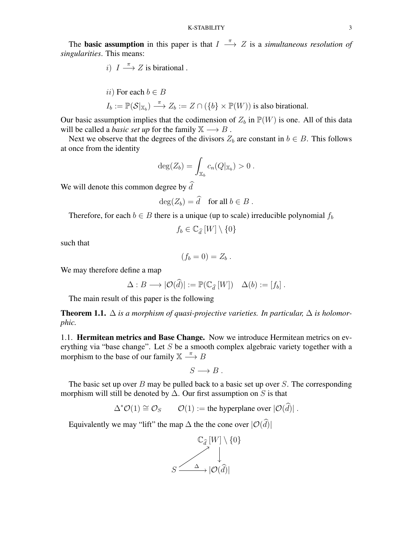The **basic assumption** in this paper is that  $I \stackrel{\pi}{\longrightarrow} Z$  is a *simultaneous resolution of singularities*. This means:

*i*) 
$$
I \xrightarrow{\pi} Z
$$
 is birational.

*ii*) For each 
$$
b \in B
$$
  
\n $I_b := \mathbb{P}(\mathcal{S} |_{\mathbb{X}_b}) \xrightarrow{\pi} Z_b := Z \cap (\{b\} \times \mathbb{P}(W))$  is also birational.

Our basic assumption implies that the codimension of  $Z_b$  in  $\mathbb{P}(W)$  is one. All of this data will be called a *basic set up* for the family  $X \rightarrow B$ .

Next we observe that the degrees of the divisors  $Z_b$  are constant in  $b \in B$ . This follows at once from the identity

$$
\deg(Z_b) = \int_{\mathbb{X}_b} c_n(Q|_{\mathbb{X}_b}) > 0.
$$

We will denote this common degree by  $\hat{d}$ 

$$
\deg(Z_b) = \widehat{d} \quad \text{for all } b \in B \; .
$$

Therefore, for each  $b \in B$  there is a unique (up to scale) irreducible polynomial  $f_b$ 

$$
f_b \in \mathbb{C}_{\widehat{d}}\left[W\right] \setminus \{0\}
$$

such that

$$
(f_b=0)=Z_b.
$$

We may therefore define a map

$$
\Delta: B \longrightarrow |\mathcal{O}(\widehat{d})| := \mathbb{P}(\mathbb{C}_{\widehat{d}}[W]) \quad \Delta(b) := [f_b].
$$

The main result of this paper is the following

<span id="page-2-1"></span>**Theorem 1.1.**  $\Delta$  *is a morphism of quasi-projective varieties. In particular,*  $\Delta$  *is holomorphic.*

<span id="page-2-0"></span>1.1. Hermitean metrics and Base Change. Now we introduce Hermitean metrics on everything via "base change". Let  $S$  be a smooth complex algebraic variety together with a morphism to the base of our family  $X \longrightarrow B$ 

$$
S\longrightarrow B.
$$

The basic set up over  $B$  may be pulled back to a basic set up over  $S$ . The corresponding morphism will still be denoted by  $\Delta$ . Our first assumption on S is that

$$
\Delta^* \mathcal{O}(1) \cong \mathcal{O}_S \qquad \mathcal{O}(1) := \text{the hyperplane over } |\mathcal{O}(\widehat{d})| \; .
$$

Equivalently we may "lift" the map  $\Delta$  the the cone over  $|\mathcal{O}(\hat{d})|$ 

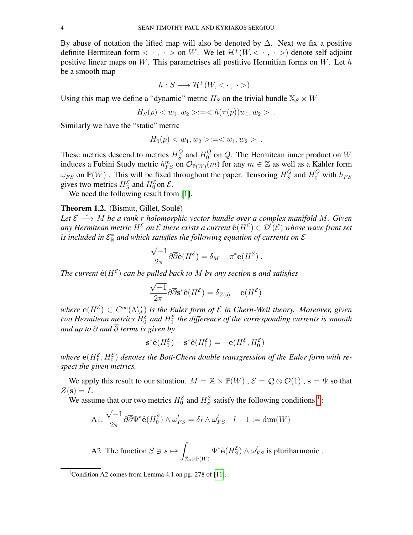By abuse of notation the lifted map will also be denoted by  $\Delta$ . Next we fix a positive definite Hermitean form  $\langle \cdot, \cdot \rangle$  on W. We let  $\mathcal{H}^+(W, \langle \cdot, \cdot \rangle)$  denote self adjoint positive linear maps on W. This parametrises all postitive Hermitian forms on W. Let  $h$ be a smooth map

$$
h: S \longrightarrow \mathcal{H}^+(W, \langle \cdot, \cdot \rangle).
$$

Using this map we define a "dynamic" metric  $H_S$  on the trivial bundle  $\mathbb{X}_S \times W$ 

$$
H_S(p) < w_1, w_2 > := < h(\pi(p))w_1, w_2 > .
$$

Similarly we have the "static" metric

$$
H_0(p) < w_1, w_2 > := < w_1, w_2 > .
$$

These metrics descend to metrics  $H_S^Q$  $S<sub>S</sub><sup>Q</sup>$  and  $H<sub>0</sub><sup>Q</sup>$  on Q. The Hermitean inner product on W induces a Fubini Study metric  $h_{FS}^m$  on  $\mathcal{O}_{\mathbb{P}(W)}(m)$  for any  $m \in \mathbb{Z}$  as well as a Kähler form  $\omega_{FS}$  on  $\mathbb{P}(W)$  . This will be fixed throughout the paper. Tensoring  $H_S^Q$  $S<sub>S</sub><sup>Q</sup>$  and  $H<sub>0</sub><sup>Q</sup>$  with  $h_{FS}$ gives two metrics  $H_S^{\mathcal{E}}$  and  $H_0^{\mathcal{E}}$  on  $\mathcal{E}$ .

We need the following result from [\[1\]](#page-18-3).

### Theorem 1.2. (Bismut, Gillet, Soulé)

*Let*  $\mathcal{E}$   $\stackrel{\pi}{\longrightarrow}$  *M be a rank r holomorphic vector bundle over a complex manifold M. Given* any Hermitean metric  $H^{\mathcal{E}}$  on  $\mathcal E$  there exists a current  $\hat{\mathrm e}(H^{\mathcal{E}}) \in \mathcal D^{'}(\mathcal{E})$  whose wave front set is included in  $\mathcal{E}^*_{\mathbb{R}}$  and which satisfies the following equation of currents on  $\mathcal E$ 

$$
\frac{\sqrt{-1}}{2\pi}\partial\overline{\partial} \hat{\mathbf{e}}(H^{\mathcal{E}}) = \delta_M - \pi^* \mathbf{e}(H^{\mathcal{E}}) .
$$

The current  $\hat{\mathbf{e}}(H^{\mathcal{E}})$  can be pulled back to M by any section  $\mathbf s$  and satisfies

$$
\frac{\sqrt{-1}}{2\pi} \partial \overline{\partial} s^* \hat{\mathbf{e}}(H^{\mathcal{E}}) = \delta_{Z(\mathbf{s})} - \mathbf{e}(H^{\mathcal{E}})
$$

where  $e(H^{\mathcal{E}}) \in C^{\infty}(\Lambda_M^{r,r})$  is the Euler form of  $\mathcal E$  in Chern-Weil theory. Moreover, given two Hermitean metrics  $H_0^{\mathcal{E}}$  and  $H_1^{\mathcal{E}}$  the difference of the corresponding currents is smooth *and up to* ∂ *and* ∂ *terms is given by*

$$
\mathbf{s}^*\hat{\mathbf{e}}(H_0^{\mathcal{E}}) - \mathbf{s}^*\hat{\mathbf{e}}(H_1^{\mathcal{E}}) = -\mathbf{e}(H_1^{\mathcal{E}}, H_0^{\mathcal{E}})
$$

where  $e(H_1^{\mathcal{E}},H_0^{\mathcal{E}})$  denotes the Bott-Chern double transgression of the Euler form with re*spect the given metrics.*

We apply this result to our situation.  $M = \mathbb{X} \times \mathbb{P}(W)$ ,  $\mathcal{E} = \mathcal{Q} \otimes \mathcal{O}(1)$ ,  $s = \Psi$  so that  $Z(\mathbf{s})=I.$ 

We assume that our two metrics  $H_0^{\mathcal{E}}$  and  $H_S^{\mathcal{E}}$  satisfy the following conditions <sup>[1](#page-3-0)</sup>: √

$$
\text{A1.} \ \frac{\sqrt{-1}}{2\pi} \partial \overline{\partial} \Psi^* \hat{\mathbf{e}} (H_0^{\mathcal{E}}) \wedge \omega_{FS}^l = \delta_I \wedge \omega_{FS}^l \quad l+1 := \dim(W)
$$

A2. The function 
$$
S \ni s \mapsto \int_{\mathbb{X}_s \times \mathbb{P}(W)} \Psi^* \hat{\mathbf{e}}(H_S^{\mathcal{E}}) \wedge \omega_{FS}^l
$$
 is pluriharmonic.

<span id="page-3-0"></span><sup>&</sup>lt;sup>1</sup>Condition A2 comes from Lemma 4.1 on pg. 278 of [\[11\]](#page-18-0).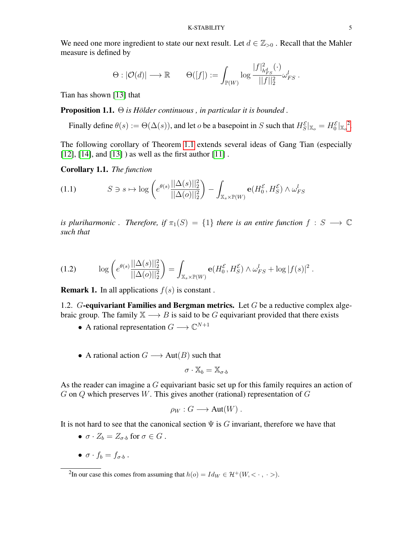We need one more ingredient to state our next result. Let  $d \in \mathbb{Z}_{>0}$  . Recall that the Mahler measure is defined by

$$
\Theta: |\mathcal{O}(d)| \longrightarrow \mathbb{R} \qquad \Theta([f]):= \int_{\mathbb{P}(W)} \log \frac{|f|^2_{h^d_{FS}}(\cdot)}{||f||^2_2} \omega^l_{FS}\ .
$$

Tian has shown [\[13\]](#page-18-4) that

Proposition 1.1. Θ *is Hölder continuous , in particular it is bounded .*

Finally define  $\theta(s) := \Theta(\Delta(s))$ , and let *o* be a basepoint in *S* such that  $H_S^{\mathcal{E}}|_{\mathbb{X}_o} = H_0^{\mathcal{E}}|_{\mathbb{X}_o}^2$  $H_S^{\mathcal{E}}|_{\mathbb{X}_o} = H_0^{\mathcal{E}}|_{\mathbb{X}_o}^2$ .

The following corollary of Theorem [1.1](#page-2-1) extends several ideas of Gang Tian (especially [\[12\]](#page-18-5), [\[14\]](#page-18-6), and [\[13\]](#page-18-4)) as well as the first author [\[11\]](#page-18-0).

<span id="page-4-3"></span>Corollary 1.1. *The function*

$$
(1.1) \tS \ni s \mapsto \log \left( e^{\theta(s)} \frac{||\Delta(s)||_2^2}{||\Delta(o)||_2^2} \right) - \int_{\mathbb{X}_s \times \mathbb{P}(W)} \mathbf{e}(H_0^{\mathcal{E}}, H_S^{\mathcal{E}}) \wedge \omega_{FS}^l
$$

*is pluriharmonic . Therefore, if*  $\pi_1(S) = \{1\}$  *there is an entire function*  $f : S \longrightarrow \mathbb{C}$ *such that*

<span id="page-4-2"></span>(1.2) 
$$
\log \left( e^{\theta(s)} \frac{||\Delta(s)||_2^2}{||\Delta(o)||_2^2} \right) = \int_{\mathbb{X}_s \times \mathbb{P}(W)} \mathbf{e}(H_0^{\mathcal{E}}, H_S^{\mathcal{E}}) \wedge \omega_{FS}^l + \log |f(s)|^2.
$$

**Remark 1.** In all applications  $f(s)$  is constant.

<span id="page-4-0"></span>1.2. G-equivariant Families and Bergman metrics. Let  $G$  be a reductive complex algebraic group. The family  $X \longrightarrow B$  is said to be G equivariant provided that there exists

- A rational representation  $G \longrightarrow \mathbb{C}^{N+1}$
- A rational action  $G \longrightarrow Aut(B)$  such that

$$
\sigma\cdot\mathbb{X}_b=\mathbb{X}_{\sigma\cdot b}
$$

As the reader can imagine a G equivariant basic set up for this family requires an action of  $G$  on  $Q$  which preserves  $W$ . This gives another (rational) representation of  $G$ 

$$
\rho_W: G \longrightarrow \text{Aut}(W) .
$$

It is not hard to see that the canonical section  $\Psi$  is G invariant, therefore we have that

- $\sigma \cdot Z_b = Z_{\sigma \cdot b}$  for  $\sigma \in G$ .
- $\bullet \ \sigma \cdot f_b = f_{\sigma \cdot b}$ .

<span id="page-4-1"></span><sup>&</sup>lt;sup>2</sup>In our case this comes from assuming that  $h(o) = Id_W \in \mathcal{H}^+(W, \langle \cdot, \cdot \rangle)$ .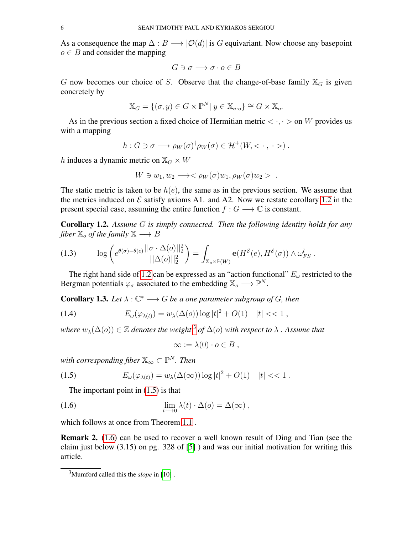As a consequence the map  $\Delta : B \longrightarrow |O(d)|$  is G equivariant. Now choose any basepoint  $o \in B$  and consider the mapping

$$
G \ni \sigma \longrightarrow \sigma \cdot o \in B
$$

G now becomes our choice of S. Observe that the change-of-base family  $\mathbb{X}_G$  is given concretely by

$$
\mathbb{X}_G = \{ (\sigma, y) \in G \times \mathbb{P}^N | y \in \mathbb{X}_{\sigma \cdot o} \} \cong G \times \mathbb{X}_o.
$$

As in the previous section a fixed choice of Hermitian metric  $\langle \cdot, \cdot \rangle$  on W provides us with a mapping

$$
h: G \ni \sigma \longrightarrow \rho_W(\sigma)^{\dagger} \rho_W(\sigma) \in \mathcal{H}^+(W, \langle \cdot, \cdot \rangle).
$$

h induces a dynamic metric on  $\mathbb{X}_G \times W$ 

$$
W \ni w_1, w_2 \longrightarrow <\rho_W(\sigma)w_1, \rho_W(\sigma)w_2>.
$$

The static metric is taken to be  $h(e)$ , the same as in the previous section. We assume that the metrics induced on  $\mathcal E$  satisfy axioms A1. and A2. Now we restate corollary [1.2](#page-4-2) in the present special case, assuming the entire function  $f: G \longrightarrow \mathbb{C}$  is constant.

<span id="page-5-0"></span>Corollary 1.2. *Assume* G *is simply connected. Then the following identity holds for any fiber*  $\mathbb{X}_o$  *of the family*  $\mathbb{X} \longrightarrow B$ 

(1.3) 
$$
\log\left(e^{\theta(\sigma)-\theta(e)}\frac{||\sigma\cdot\Delta(o)||_2^2}{||\Delta(o)||_2^2}\right)=\int_{\mathbb{X}_o\times\mathbb{P}(W)}\mathbf{e}(H^{\mathcal{E}}(e),H^{\mathcal{E}}(\sigma))\wedge\omega_{FS}^l.
$$

The right hand side of [1.2](#page-5-0) can be expressed as an "action functional"  $E_{\omega}$  restricted to the Bergman potentials  $\varphi_{\sigma}$  associated to the embedding  $\mathbb{X}_{o} \longrightarrow \mathbb{P}^{N}$ .

**Corollary 1.3.** Let  $\lambda : \mathbb{C}^* \longrightarrow G$  be a one parameter subgroup of G, then

(1.4) 
$$
E_{\omega}(\varphi_{\lambda(t)}) = w_{\lambda}(\Delta(o)) \log |t|^2 + O(1) \quad |t| < 1,
$$

where  $w_\lambda(\Delta(o)) \in \mathbb{Z}$  denotes the weight  $^3$  $^3$  of  $\Delta(o)$  with respect to  $\lambda$  . Assume that

$$
\infty := \lambda(0) \cdot o \in B ,
$$

with corresponding fiber  $\mathbb{X}_{\infty}\subset\mathbb{P}^N$  . Then

<span id="page-5-2"></span>(1.5) 
$$
E_{\omega}(\varphi_{\lambda(t)}) = w_{\lambda}(\Delta(\infty)) \log |t|^2 + O(1) \quad |t| < 1.
$$

The important point in [\(1.5\)](#page-5-2) is that

<span id="page-5-3"></span>(1.6) 
$$
\lim_{t \to 0} \lambda(t) \cdot \Delta(o) = \Delta(\infty),
$$

which follows at once from Theorem [1.1](#page-2-1) .

Remark 2. [\(1.6\)](#page-5-3) can be used to recover a well known result of Ding and Tian (see the claim just below  $(3.15)$  on pg. 328 of [\[5\]](#page-18-1)) and was our initial motivation for writing this article.

<span id="page-5-1"></span><sup>3</sup>Mumford called this the *slope* in [\[10\]](#page-18-7) .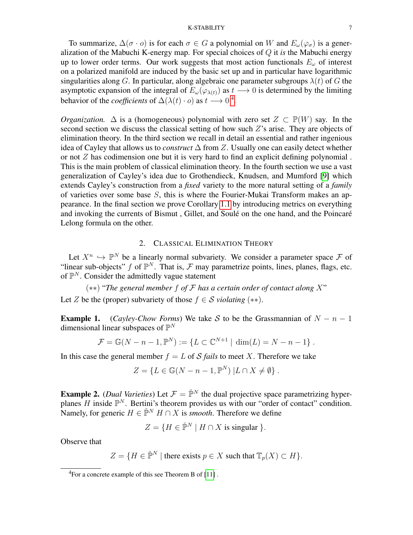#### K-STABILITY 7

To summarize,  $\Delta(\sigma \cdot o)$  is for each  $\sigma \in G$  a polynomial on W and  $E_{\omega}(\varphi_{\sigma})$  is a generalization of the Mabuchi K-energy map. For special choices of Q it *is* the Mabuchi energy up to lower order terms. Our work suggests that most action functionals  $E_{\omega}$  of interest on a polarized manifold are induced by the basic set up and in particular have logarithmic singularities along G. In particular, along algebraic one parameter subgroups  $\lambda(t)$  of G the asymptotic expansion of the integral of  $E_{\omega}(\varphi_{\lambda(t)})$  as  $t \longrightarrow 0$  is determined by the limiting behavior of the *coefficients* of  $\Delta(\lambda(t) \cdot o)$  as  $t \rightarrow 0^4$  $t \rightarrow 0^4$ .

*Organization.*  $\Delta$  is a (homogeneous) polynomial with zero set  $Z \subset \mathbb{P}(W)$  say. In the second section we discuss the classical setting of how such  $Z$ 's arise. They are objects of elimination theory. In the third section we recall in detail an essential and rather ingenious idea of Cayley that allows us to *construct* ∆ from Z. Usually one can easily detect whether or not  $Z$  has codimension one but it is very hard to find an explicit defining polynomial. This is the main problem of classical elimination theory. In the fourth section we use a vast generalization of Cayley's idea due to Grothendieck, Knudsen, and Mumford [\[9\]](#page-18-8) which extends Cayley's construction from a *fixed* variety to the more natural setting of a *family* of varieties over some base S, this is where the Fourier-Mukai Transform makes an appearance. In the final section we prove Corollary [1.1](#page-4-3) by introducing metrics on everything and invoking the currents of Bismut , Gillet, and Soulé on the one hand, and the Poincaré Lelong formula on the other.

# 2. CLASSICAL ELIMINATION THEORY

<span id="page-6-0"></span>Let  $X^n \hookrightarrow \mathbb{P}^N$  be a linearly normal subvariety. We consider a parameter space F of "linear sub-objects" f of  $\mathbb{P}^N$ . That is, F may parametrize points, lines, planes, flags, etc. of  $\mathbb{P}^N$ . Consider the admittedly vague statement

(∗∗) "*The general member* f *of* F *has a certain order of contact along* X"

Let Z be the (proper) subvariety of those  $f \in S$  *violating* (\*\*).

**Example 1.** (*Cayley-Chow Forms*) We take S to be the Grassmannian of  $N - n - 1$ dimensional linear subspaces of  $\mathbb{P}^N$ 

$$
\mathcal{F} = \mathbb{G}(N - n - 1, \mathbb{P}^N) := \{ L \subset \mathbb{C}^{N+1} \mid \dim(L) = N - n - 1 \} .
$$

In this case the general member  $f = L$  of S *fails* to meet X. Therefore we take

$$
Z = \{ L \in \mathbb{G}(N - n - 1, \mathbb{P}^N) \mid L \cap X \neq \emptyset \}.
$$

**Example 2.** (*Dual Varieties*) Let  $\mathcal{F} = \check{\mathbb{P}}^N$  the dual projective space parametrizing hyperplanes  $H$  inside  $\mathbb{P}^N$ . Bertini's theorem provides us with our "order of contact" condition. Namely, for generic  $H \in \check{\mathbb{P}}^N$   $H \cap X$  is *smooth*. Therefore we define

$$
Z = \{ H \in \check{\mathbb{P}}^N \mid H \cap X \text{ is singular } \}.
$$

Observe that

$$
Z = \{ H \in \check{\mathbb{P}}^N \mid \text{there exists } p \in X \text{ such that } \mathbb{T}_p(X) \subset H \}.
$$

<span id="page-6-1"></span> ${}^{4}$ For a concrete example of this see Theorem B of [\[11\]](#page-18-0).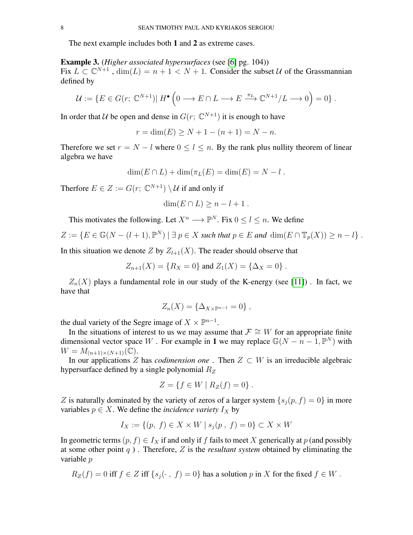The next example includes both 1 and 2 as extreme cases.

## Example 3. (*Higher associated hypersurfaces* (see [\[6\]](#page-18-9) pg. 104))

Fix  $L \subset \mathbb{C}^{N+1}$ ,  $\dim(L) = n + 1 < N + 1$ . Consider the subset U of the Grassmannian defined by

$$
\mathcal{U} := \{ E \in G(r; \mathbb{C}^{N+1}) | H^{\bullet} \left( 0 \longrightarrow E \cap L \longrightarrow E \stackrel{\pi_L}{\longrightarrow} \mathbb{C}^{N+1} / L \longrightarrow 0 \right) = 0 \}.
$$

In order that U be open and dense in  $G(r; \mathbb{C}^{N+1})$  it is enough to have

$$
r = \dim(E) \ge N + 1 - (n + 1) = N - n.
$$

Therefore we set  $r = N - l$  where  $0 \le l \le n$ . By the rank plus nullity theorem of linear algebra we have

$$
\dim(E \cap L) + \dim(\pi_L(E) = \dim(E) = N - l.
$$

Therfore  $E \in Z := G(r; \mathbb{C}^{N+1}) \setminus \mathcal{U}$  if and only if

$$
\dim(E \cap L) \ge n - l + 1.
$$

This motivates the following. Let  $X^n \longrightarrow \mathbb{P}^N$ . Fix  $0 \le l \le n$ . We define

$$
Z := \{ E \in \mathbb{G}(N - (l+1), \mathbb{P}^N) \mid \exists p \in X \text{ such that } p \in E \text{ and } \dim(E \cap \mathbb{T}_p(X)) \ge n - l \} .
$$

In this situation we denote Z by  $Z_{l+1}(X)$ . The reader should observe that

$$
Z_{n+1}(X) = \{ R_X = 0 \} \text{ and } Z_1(X) = \{ \Delta_X = 0 \} .
$$

 $Z_n(X)$  plays a fundamental role in our study of the K-energy (see [\[11\]](#page-18-0)). In fact, we have that

$$
Z_n(X) = \{ \Delta_{X \times \mathbb{P}^{n-1}} = 0 \},
$$

the dual variety of the Segre image of  $X \times \mathbb{P}^{n-1}$ .

In the situations of interest to us we may assume that  $\mathcal{F} \cong W$  for an appropriate finite dimensional vector space W. For example in 1 we may replace  $\mathbb{G}(N - n - 1, \mathbb{P}^N)$  with  $W = M_{(n+1)\times(N+1)}(\mathbb{C}).$ 

In our applications  $Z$  has *codimension one*. Then  $Z \subset W$  is an irreducible algebraic hypersurface defined by a single polynomial  $R_z$ 

$$
Z = \{ f \in W \mid R_Z(f) = 0 \} .
$$

Z is naturally dominated by the variety of zeros of a larger system  $\{s_i(p, f) = 0\}$  in more variables  $p \in X$ . We define the *incidence variety*  $I_X$  by

$$
I_X := \{(p, f) \in X \times W \mid s_j(p, f) = 0\} \subset X \times W
$$

In geometric terms  $(p, f) \in I_X$  if and only if f fails to meet X generically at p (and possibly at some other point q ) . Therefore, Z is the *resultant system* obtained by eliminating the variable p

$$
R_Z(f) = 0
$$
 iff  $f \in Z$  iff  $\{s_j(\cdot, f) = 0\}$  has a solution p in X for the fixed  $f \in W$ .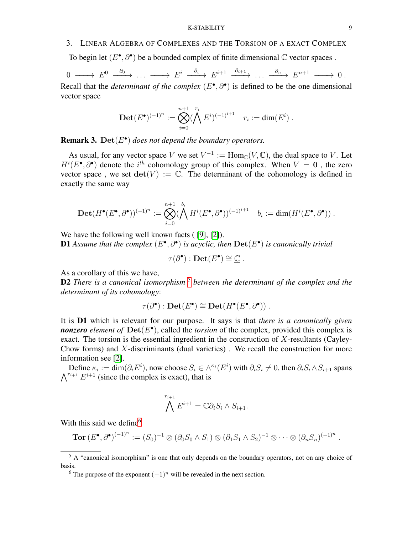## <span id="page-8-0"></span>3. LINEAR ALGEBRA OF COMPLEXES AND THE TORSION OF A EXACT COMPLEX

To begin let  $(E^{\bullet}, \partial^{\bullet})$  be a bounded complex of finite dimensional  $\mathbb C$  vector spaces.

$$
0 \longrightarrow E^{0} \longrightarrow \cdots \longrightarrow E^{i} \longrightarrow^{ \partial_{i} \longrightarrow E^{i+1} \longrightarrow^{ \partial_{i+1} \longrightarrow} \cdots \longrightarrow^{ \partial_{n} \longrightarrow E^{n+1} \longrightarrow 0.
$$

Recall that the *determinant of the complex*  $(E^{\bullet}, \partial^{\bullet})$  is defined to be the one dimensional vector space

$$
\mathbf{Det}(E^{\bullet})^{(-1)^n} := \bigotimes_{i=0}^{n+1} (\bigwedge^{r_i} E^i)^{(-1)^{i+1}} \quad r_i := \dim(E^i) \ .
$$

**Remark 3.** Det $(E^{\bullet})$  does not depend the boundary operators.

As usual, for any vector space V we set  $V^{-1} := \text{Hom}_{\mathbb{C}}(V, \mathbb{C})$ , the dual space to V. Let  $H^{i}(E^{\bullet}, \partial^{\bullet})$  denote the  $i^{th}$  cohomology group of this complex. When  $V = 0$ , the zero vector space, we set  $\det(V) := \mathbb{C}$ . The determinant of the cohomology is defined in exactly the same way

$$
\text{Det}(H^{\bullet}(E^{\bullet},\partial^{\bullet}))^{(-1)^n}:=\bigotimes_{i=0}^{n+1}(\bigwedge_{i=0}^{b_i}H^i(E^{\bullet},\partial^{\bullet}))^{(-1)^{i+1}}\quad b_i:=\dim(H^i(E^{\bullet},\partial^{\bullet}))\ .
$$

We have the following well known facts (19, 121).

**D1** Assume that the complex  $(E^{\bullet}, \partial^{\bullet})$  is acyclic, then  $\textbf{Det}(E^{\bullet})$  is canonically trivial

 $\tau(\partial^{\bullet}) : \textbf{Det}(E^{\bullet}) \cong \underline{\mathbb{C}}$ .

As a corollary of this we have,

D2 *There is a canonical isomorphism* [5](#page-8-1) *between the determinant of the complex and the determinant of its cohomology*:

$$
\tau(\partial^{\bullet}): \mathbf{Det}(E^{\bullet}) \cong \mathbf{Det}(H^{\bullet}(E^{\bullet}, \partial^{\bullet})) .
$$

It is D1 which is relevant for our purpose. It says is that *there is a canonically given nonzero element of*  $\text{Det}(E^{\bullet})$ , called the *torsion* of the complex, provided this complex is exact. The torsion is the essential ingredient in the construction of  $X$ -resultants (Cayley-Chow forms) and  $X$ -discriminants (dual varieties). We recall the construction for more information see [\[2\]](#page-18-10).

Define  $\kappa_i := \dim(\partial_i E^i)$ , now choose  $S_i \in \wedge^{\kappa_i}(E^i)$  with  $\partial_i S_i \neq 0$ , then  $\partial_i S_i \wedge S_{i+1}$  spans  $\bigwedge^{r_{i+1}} E^{i+1}$  (since the complex is exact), that is

$$
\bigwedge^{r_{i+1}} E^{i+1} = \mathbb{C} \partial_i S_i \wedge S_{i+1}.
$$

With this said we define  $6\%$  $6\%$ 

$$
\text{Tor}\,(E^{\bullet},\partial^{\bullet})^{(-1)^n} := (S_0)^{-1} \otimes (\partial_0 S_0 \wedge S_1) \otimes (\partial_1 S_1 \wedge S_2)^{-1} \otimes \cdots \otimes (\partial_n S_n)^{(-1)^n}
$$

.

<span id="page-8-1"></span> $5 \text{ A}$  "canonical isomorphism" is one that only depends on the boundary operators, not on any choice of basis.

<span id="page-8-2"></span><sup>&</sup>lt;sup>6</sup> The purpose of the exponent  $(-1)^n$  will be revealed in the next section.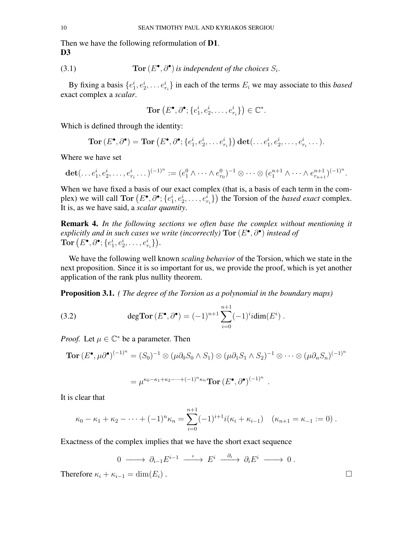Then we have the following reformulation of **D1**. D<sub>3</sub>

(3.1) **Tor** 
$$
(E^{\bullet}, \partial^{\bullet})
$$
 is independent of the choices  $S_i$ .

By fixing a basis  $\{e_1^i, e_2^i, \dots e_{r_i}^i\}$  in each of the terms  $E_i$  we may associate to this *based* exact complex a *scalar*.

$$
\mathbf{Tor}\left(E^{\bullet}, \partial^{\bullet}; \{e_1^i, e_2^i, \dots, e_{r_i}^i\}\right) \in \mathbb{C}^*.
$$

Which is defined through the identity:

$$
\text{Tor}\,(E^{\bullet},\partial^{\bullet})=\text{Tor}\,(E^{\bullet},\partial^{\bullet};\{e_1^i,e_2^i,\ldots e_{r_i}^i\})\,\text{det}(\ldots e_1^i,e_2^i,\ldots,e_{r_i}^i\ldots).
$$

Where we have set

$$
\det(\ldots e_1^i, e_2^i, \ldots, e_{r_i}^i \ldots)^{(-1)^n} := (e_1^0 \wedge \cdots \wedge e_{r_0}^0)^{-1} \otimes \cdots \otimes (e_1^{n+1} \wedge \cdots \wedge e_{r_{n+1}}^{n+1})^{(-1)^n}.
$$

When we have fixed a basis of our exact complex (that is, a basis of each term in the complex) we will call  $Tor(E^{\bullet}, \partial^{\bullet}; \{e_1^i, e_2^i, \dots, e_{r_i}^i\})$  the Torsion of the *based exact* complex. It is, as we have said, a *scalar quantity*.

Remark 4. *In the following sections we often base the complex without mentioning it explicitly and in such cases we write (incorrectly)* Tor (E • , ∂• ) *instead of*  $\textbf{Tor}\left(E^{\bullet},\partial^{\bullet};\{e_1^i,e_2^i,\ldots,e_{r_i}^i\}\right)$ .

We have the following well known *scaling behavior* of the Torsion, which we state in the next proposition. Since it is so important for us, we provide the proof, which is yet another application of the rank plus nullity theorem.

Proposition 3.1. *( The degree of the Torsion as a polynomial in the boundary maps)*

(3.2) 
$$
\deg \operatorname{Tor} (E^{\bullet}, \partial^{\bullet}) = (-1)^{n+1} \sum_{i=0}^{n+1} (-1)^{i} i \dim(E^{i}).
$$

*Proof.* Let  $\mu \in \mathbb{C}^*$  be a parameter. Then

**Tor** 
$$
(E^{\bullet}, \mu \partial^{\bullet})^{(-1)^n} = (S_0)^{-1} \otimes (\mu \partial_0 S_0 \wedge S_1) \otimes (\mu \partial_1 S_1 \wedge S_2)^{-1} \otimes \cdots \otimes (\mu \partial_n S_n)^{(-1)^n}
$$

$$
= \mu^{\kappa_0 - \kappa_1 + \kappa_2 - \dots + (-1)^n \kappa_n} \text{Tor} \left( E^{\bullet}, \partial^{\bullet} \right)^{(-1)^n} .
$$

It is clear that

$$
\kappa_0 - \kappa_1 + \kappa_2 - \dots + (-1)^n \kappa_n = \sum_{i=0}^{n+1} (-1)^{i+1} i(\kappa_i + \kappa_{i-1}) \quad (\kappa_{n+1} = \kappa_{-1} := 0) .
$$

Exactness of the complex implies that we have the short exact sequence

$$
0 \longrightarrow \partial_{i-1} E^{i-1} \longrightarrow E^i \longrightarrow \partial_i E^i \longrightarrow 0.
$$

Therefore  $\kappa_i + \kappa_{i-1} = \dim(E_i)$ .

$$
\qquad \qquad \Box
$$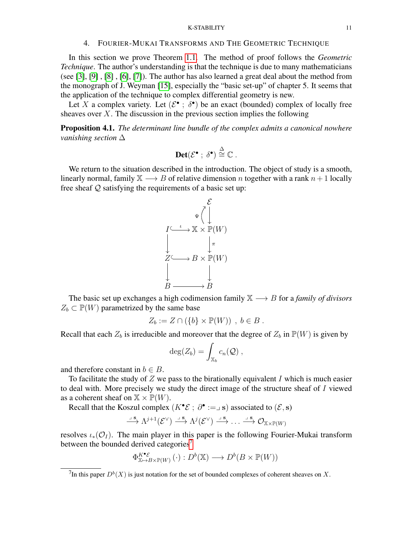#### K-STABILITY 11

#### 4. FOURIER-MUKAI TRANSFORMS AND THE GEOMETRIC TECHNIQUE

<span id="page-10-0"></span>In this section we prove Theorem [1.1.](#page-2-1) The method of proof follows the *Geometric Technique*. The author's understanding is that the technique is due to many mathematicians (see [\[3\]](#page-18-11), [\[9\]](#page-18-8) , [\[8\]](#page-18-12) , [\[6\]](#page-18-9), [\[7\]](#page-18-13)). The author has also learned a great deal about the method from the monograph of J. Weyman [\[15\]](#page-18-14), especially the "basic set-up" of chapter 5. It seems that the application of the technique to complex differential geometry is new.

Let X a complex variety. Let  $(\mathcal{E}^{\bullet} : \delta^{\bullet})$  be an exact (bounded) complex of locally free sheaves over  $X$ . The discussion in the previous section implies the following

Proposition 4.1. *The determinant line bundle of the complex admits a canonical nowhere vanishing section* ∆

$$
\mathbf{Det}(\mathcal{E}^{\bullet} \; ; \; \delta^{\bullet}) \stackrel{\Delta}{\cong} \mathbb{C} \; .
$$

We return to the situation described in the introduction. The object of study is a smooth, linearly normal, family  $X \longrightarrow B$  of relative dimension n together with a rank  $n + 1$  locally free sheaf Q satisfying the requirements of a basic set up:



The basic set up exchanges a high codimension family X −→ B for a *family of divisors*  $Z_b \subset \mathbb{P}(W)$  parametrized by the same base

$$
Z_b := Z \cap (\{b\} \times \mathbb{P}(W)) , b \in B .
$$

Recall that each  $Z_b$  is irreducible and moreover that the degree of  $Z_b$  in  $\mathbb{P}(W)$  is given by

$$
\deg(Z_b) = \int_{\mathbb{X}_b} c_n(\mathcal{Q}),
$$

and therefore constant in  $b \in B$ .

To facilitate the study of  $Z$  we pass to the birationally equivalent  $I$  which is much easier to deal with. More precisely we study the direct image of the structure sheaf of I viewed as a coherent sheaf on  $X \times \mathbb{P}(W)$ .

Recall that the Koszul complex  $(K^{\bullet} \mathcal{E} ; \partial^{\bullet} := \Box \mathbf{s})$  associated to  $(\mathcal{E}, \mathbf{s})$ 

$$
\stackrel{\lrcorner \ s}{\longrightarrow} \Lambda^{j+1}(\mathcal{E}^{\vee}) \stackrel{\lrcorner \ s}{\longrightarrow} \Lambda^{j}(\mathcal{E}^{\vee}) \stackrel{\lrcorner \ s}{\longrightarrow} \ldots \stackrel{\lrcorner \ s}{\longrightarrow} \mathcal{O}_{\mathbb{X} \times \mathbb{P}(W)}
$$

resolves  $\iota_*(\mathcal{O}_I)$ . The main player in this paper is the following Fourier-Mukai transform between the bounded derived categories<sup>[7](#page-10-1)</sup>

$$
\Phi_{\mathbb{X}\mapsto B\times\mathbb{P}(W)}^{\kappa^{\bullet}\varepsilon}(\cdot):D^b(\mathbb{X})\longrightarrow D^b(B\times\mathbb{P}(W))
$$

<span id="page-10-1"></span><sup>&</sup>lt;sup>7</sup>In this paper  $D^b(X)$  is just notation for the set of bounded complexes of coherent sheaves on X.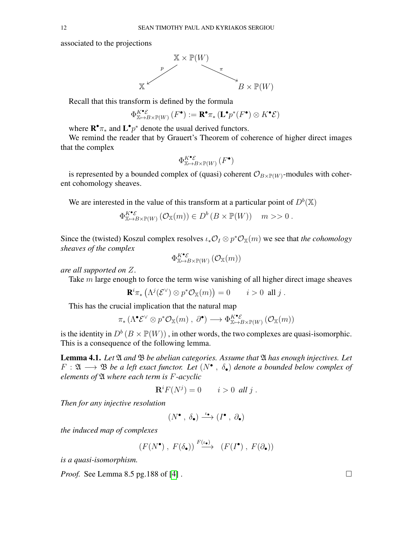associated to the projections



Recall that this transform is defined by the formula

K•E

$$
\Phi_{\mathbb{X}\mapsto B\times \mathbb{P}(W)}^{\mathcal{K}\bullet\mathcal{E}}\left(F^{\bullet}\right):=\mathbf{R}^{\bullet}\pi_{*}\left(\mathbf{L}^{\bullet}p^{*}(F^{\bullet})\otimes K^{\bullet}\mathcal{E}\right)
$$

where  $\mathbf{R}^{\bullet} \pi_{*}$  and  $\mathbf{L}^{\bullet} p^{*}$  denote the usual derived functors.

We remind the reader that by Grauert's Theorem of coherence of higher direct images that the complex

$$
\Phi_{\mathbb{X}\mapsto B\times \mathbb{P}(W)}^{K^\bullet\mathcal{E}}\left(F^\bullet\right)
$$

is represented by a bounded complex of (quasi) coherent  $\mathcal{O}_{B\times\mathbb{P}(W)}$ -modules with coherent cohomology sheaves.

We are interested in the value of this transform at a particular point of  $D^b(\mathbb{X})$ 

$$
\Phi_{\mathbb{X}\mapsto B\times\mathbb{P}(W)}^{\kappa^{\bullet}\varepsilon}(\mathcal{O}_{\mathbb{X}}(m))\in D^{b}(B\times\mathbb{P}(W))\quad m\gg 0.
$$

Since the (twisted) Koszul complex resolves  $\iota_* \mathcal{O}_I \otimes p^* \mathcal{O}_{\mathbb{X}}(m)$  we see that *the cohomology sheaves of the complex*

$$
\Phi_{\mathbb{X} \mapsto B \times \mathbb{P}(W)}^{K^\bullet \mathcal{E}} \left( \mathcal{O}_{\mathbb{X}}(m) \right)
$$

*are all supported on* Z.

Take m large enough to force the term wise vanishing of all higher direct image sheaves

$$
\mathbf{R}^i \pi_* \left( \Lambda^j(\mathcal{E}^\vee) \otimes p^* \mathcal{O}_\mathbb{X}(m) \right) = 0 \qquad i > 0 \text{ all } j.
$$

This has the crucial implication that the natural map

$$
\pi_*\left(\Lambda^\bullet \mathcal{E}^\vee \otimes p^* \mathcal{O}_{\mathbb{X}}(m) \ , \ \partial^\bullet\right) \longrightarrow \Phi_{\mathbb{X} \mapsto B \times \mathbb{P}(W)}^{\kappa^\bullet \mathcal{E}}\left(\mathcal{O}_{\mathbb{X}}(m)\right)
$$

is the identity in  $D^b(B \times \mathbb{P}(W))$ , in other words, the two complexes are quasi-isomorphic. This is a consequence of the following lemma.

<span id="page-11-0"></span>Lemma 4.1. *Let* A *and* B *be abelian categories. Assume that* A *has enough injectives. Let*  $F: \mathfrak{A} \longrightarrow \mathfrak{B}$  be a left exact functor. Let  $(N^{\bullet}, \ \delta_{\bullet})$  denote a bounded below complex of *elements of* A *where each term is* F*-acyclic*

$$
\mathbf{R}^i F(N^j) = 0 \qquad i > 0 \text{ all } j.
$$

*Then for any injective resolution*

$$
(N^{\bullet}\ ,\ \delta_{\bullet})\stackrel{\iota_{\bullet}}{\longrightarrow}(I^{\bullet}\ ,\ \partial_{\bullet})
$$

*the induced map of complexes*

$$
(F(N^{\bullet}), F(\delta_{\bullet})) \stackrel{F(\iota_{\bullet})}{\longrightarrow} (F(I^{\bullet}), F(\partial_{\bullet}))
$$

*is a quasi-isomorphism.*

*Proof.* See Lemma 8.5 pg.188 of [\[4\]](#page-18-15).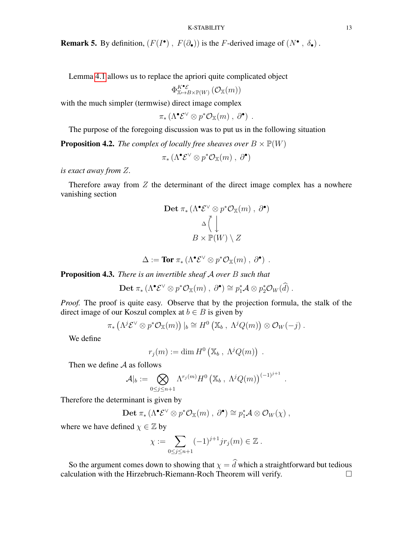**Remark 5.** By definition,  $(F(I^{\bullet}), F(\partial_{\bullet}))$  is the *F*-derived image of  $(N^{\bullet}, \delta_{\bullet})$ .

Lemma [4.1](#page-11-0) allows us to replace the apriori quite complicated object

 $\Phi_{\mathbb{X}\mapsto B\times\mathbb{P}(W)}^{K^\bullet\mathcal{E}}\left(\mathcal{O}_{\mathbb{X}}(m)\right)$ 

with the much simpler (termwise) direct image complex

$$
\pi_*\left(\Lambda^\bullet \mathcal{E}^\vee \otimes p^* \mathcal{O}_\mathbb{X}(m) \ , \ \partial^\bullet\right) \ .
$$

The purpose of the foregoing discussion was to put us in the following situation

**Proposition 4.2.** *The complex of locally free sheaves over*  $B \times \mathbb{P}(W)$ 

 $\pi_* (\Lambda^\bullet E^\vee \otimes p^* \mathcal{O}_\mathbb{X}(m) , \partial^\bullet)$ 

*is exact away from* Z*.*

Therefore away from  $Z$  the determinant of the direct image complex has a nowhere vanishing section

$$
\begin{array}{c}\n\text{Det } \pi_* \left( \Lambda^{\bullet} \mathcal{E}^{\vee} \otimes p^* \mathcal{O}_{\mathbb{X}}(m) \ , \ \partial^{\bullet} \right) \\
\cong \bigcap_{\Delta \bigcup \atop B \times \mathbb{P}(W) \ \backslash \ Z}\n\end{array}
$$

$$
\Delta := \text{Tor} \; \pi_* \left( \Lambda^{\bullet} \mathcal{E}^{\vee} \otimes p^* \mathcal{O}_{\mathbb{X}}(m) \; , \; \partial^{\bullet} \right) \; .
$$

Proposition 4.3. *There is an invertible sheaf* A *over* B *such that*

Det  $\pi_*(\Lambda^{\bullet} \mathcal{E}^{\vee} \otimes p^* \mathcal{O}_{\mathbb{X}}(m) , \partial^{\bullet}) \cong p_1^* \mathcal{A} \otimes p_2^* \mathcal{O}_W(\widehat{d})$ .

*Proof.* The proof is quite easy. Observe that by the projection formula, the stalk of the direct image of our Koszul complex at  $b \in B$  is given by

$$
\pi_*\left(\Lambda^j \mathcal{E}^\vee \otimes p^* \mathcal{O}_\mathbb{X}(m)\right)|_b \cong H^0\left(\mathbb{X}_b \ , \ \Lambda^j Q(m)\right) \otimes \mathcal{O}_W(-j) \ .
$$

We define

$$
r_j(m):=\dim H^0\left(\mathbb{X}_b\ ,\ \Lambda^jQ(m)\right)\ .
$$

.

.

Then we define  $A$  as follows

$$
\mathcal{A}|_b := \bigotimes_{0 \leq j \leq n+1} \Lambda^{r_j(m)} H^0 \left( \mathbb{X}_b \, , \, \Lambda^j Q(m) \right)^{(-1)^{j+1}}
$$

Therefore the determinant is given by

$$
\text{Det }\pi_*\left(\Lambda^\bullet\mathcal{E}^\vee\otimes p^*\mathcal{O}_{\mathbb{X}}(m)\;,\; \partial^\bullet\right)\cong p_1^*\mathcal{A}\otimes\mathcal{O}_W(\chi)\;,
$$

where we have defined  $\chi \in \mathbb{Z}$  by

$$
\chi := \sum_{0 \le j \le n+1} (-1)^{j+1} j r_j(m) \in \mathbb{Z} \ .
$$

So the argument comes down to showing that  $\chi = \hat{d}$  which a straightforward but tedious leulation with the Hirzebruch-Riemann-Roch Theorem will verify. calculation with the Hirzebruch-Riemann-Roch Theorem will verify.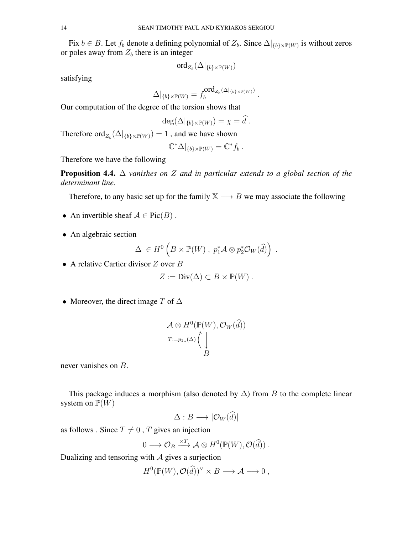Fix  $b \in B$ . Let  $f_b$  denote a defining polynomial of  $Z_b$ . Since  $\Delta|_{\{b\}\times \mathbb{P}(W)}$  is without zeros or poles away from  $Z_b$  there is an integer

$$
\mathrm{ord}_{Z_b}(\Delta|_{\{b\}\times \mathbb{P}(W)})
$$

satisfying

$$
\Delta|_{\{b\}\times \mathbb{P}(W)}=f_b^{\text{ord}_{Z_b}(\Delta|_{\{b\}\times \mathbb{P}(W)})}
$$

.

Our computation of the degree of the torsion shows that

$$
\deg(\Delta|_{\{b\}\times \mathbb{P}(W)})=\chi=\widehat{d}.
$$

Therefore  $\operatorname{ord}_{Z_b}(\Delta|_{\{b\}\times \mathbb{P}(W)}) = 1$  , and we have shown

$$
\mathbb{C}^*\Delta|_{\{b\}\times \mathbb{P}(W)} = \mathbb{C}^* f_b.
$$

Therefore we have the following

Proposition 4.4. ∆ *vanishes on* Z *and in particular extends to a global section of the determinant line.*

Therefore, to any basic set up for the family  $X \rightarrow B$  we may associate the following

- An invertible sheaf  $A \in Pic(B)$ .
- An algebraic section

$$
\Delta \in H^0\left(B \times \mathbb{P}(W) , p_1^*\mathcal{A} \otimes p_2^*\mathcal{O}_W(\widehat{d})\right) .
$$

• A relative Cartier divisor  $Z$  over  $B$ 

$$
Z := Div(\Delta) \subset B \times \mathbb{P}(W) .
$$

• Moreover, the direct image T of  $\Delta$ 

$$
\mathcal{A} \otimes H^0(\mathbb{P}(W), \mathcal{O}_W(\widehat{d}))
$$
  

$$
T:=p_{1*}(\Delta) \left(\bigcup_{B}^{n} B\right)
$$

never vanishes on B.

This package induces a morphism (also denoted by  $\Delta$ ) from B to the complete linear system on  $\mathbb{P}(W)$ 

$$
\Delta: B \longrightarrow |\mathcal{O}_W(d)|
$$

as follows . Since  $T \neq 0$ , T gives an injection

$$
0 \longrightarrow \mathcal{O}_B \xrightarrow{\times T} \mathcal{A} \otimes H^0(\mathbb{P}(W), \mathcal{O}(\widehat{d})) .
$$

Dualizing and tensoring with  $A$  gives a surjection

$$
H^0(\mathbb{P}(W), \mathcal{O}(\widehat{d}))^{\vee} \times B \longrightarrow \mathcal{A} \longrightarrow 0 ,
$$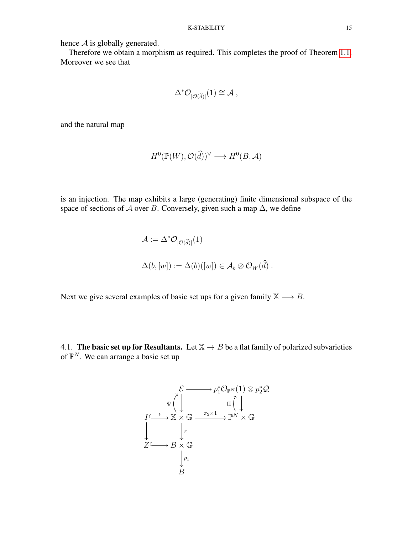hence  $A$  is globally generated.

Therefore we obtain a morphism as required. This completes the proof of Theorem [1.1.](#page-2-1) Moreover we see that

$$
\Delta^* \mathcal{O}_{|\mathcal{O}(\widehat{d})|}(1) \cong \mathcal{A} ,
$$

and the natural map

$$
H^0(\mathbb{P}(W), \mathcal{O}(\widehat{d}))^{\vee} \longrightarrow H^0(B, \mathcal{A})
$$

is an injection. The map exhibits a large (generating) finite dimensional subspace of the space of sections of A over B. Conversely, given such a map  $\Delta$ , we define

$$
\mathcal{A} := \Delta^* \mathcal{O}_{|\mathcal{O}(\widehat{d})|}(1)
$$
  

$$
\Delta(b, [w]) := \Delta(b)([w]) \in \mathcal{A}_b \otimes \mathcal{O}_W(\widehat{d}).
$$

Next we give several examples of basic set ups for a given family  $X \rightarrow B$ .

<span id="page-14-0"></span>4.1. The basic set up for Resultants. Let  $X \rightarrow B$  be a flat family of polarized subvarieties of  $\mathbb{P}^N$ . We can arrange a basic set up

$$
\mathcal{E} \longrightarrow p_1^* \mathcal{O}_{\mathbb{P}^N}(1) \otimes p_2^* \mathcal{Q}
$$
  
\n
$$
I \xrightarrow{\iota} \mathbb{X} \times \mathbb{G} \xrightarrow{\pi_2 \times 1} \mathbb{P}^N \times \mathbb{G}
$$
  
\n
$$
\downarrow \qquad \qquad \downarrow \pi
$$
  
\n
$$
Z \longrightarrow B \times \mathbb{G}
$$
  
\n
$$
\downarrow p_1
$$
  
\n
$$
B
$$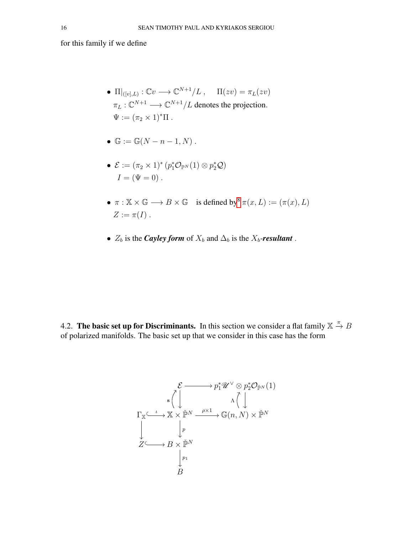for this family if we define

- $\Pi|_{([v],L)} : \mathbb{C}v \longrightarrow \mathbb{C}^{N+1}/L$ ,  $\Pi(zv) = \pi_L(zv)$  $\pi_L: \mathbb{C}^{N+1} \longrightarrow \mathbb{C}^{N+1}/L$  denotes the projection.  $\Psi := (\pi_2 \times 1)^* \Pi$ .
- $\mathbb{G} := \mathbb{G}(N n 1, N)$ .
- $\mathcal{E} := (\pi_2 \times 1)^* (p_1^* \mathcal{O}_{\mathbb{P}^N}(1) \otimes p_2^* \mathcal{Q})$  $I = (\Psi = 0)$ .
- $\pi : \mathbb{X} \times \mathbb{G} \longrightarrow B \times \mathbb{G}$  is defined by  $\pi(x, L) := (\pi(x), L)$  $Z := \pi(I)$ .
- $Z_b$  is the *Cayley form* of  $X_b$  and  $\Delta_b$  is the  $X_b$ -*resultant*.

<span id="page-15-0"></span>4.2. The basic set up for Discriminants. In this section we consider a flat family  $\mathbb{X} \stackrel{\pi}{\to} B$ of polarized manifolds. The basic set up that we consider in this case has the form

$$
\mathcal{E} \longrightarrow p_1^* \mathcal{U} \vee \otimes p_2^* \mathcal{O}_{\check{\mathbb{P}}^N}(1)
$$
\n
$$
\Gamma_{\mathbb{X}} \xrightarrow{\iota} \mathbb{X} \times \check{\mathbb{P}}^N \xrightarrow{\rho \times 1} \mathbb{G}(n, N) \times \check{\mathbb{P}}^N
$$
\n
$$
\downarrow \qquad \downarrow p
$$
\n
$$
Z \longrightarrow B \times \check{\mathbb{P}}^N
$$
\n
$$
\downarrow p_1
$$
\n
$$
B
$$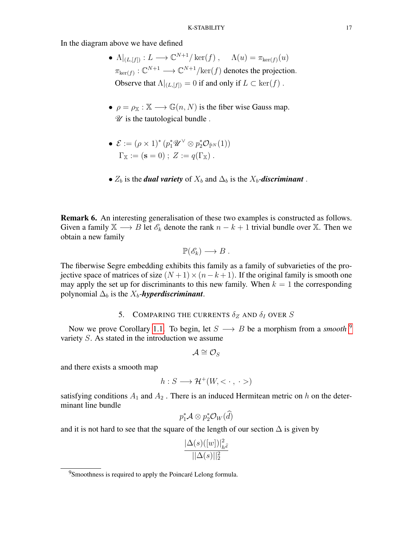In the diagram above we have defined

- $\Lambda|_{(L,[f])}: L \longrightarrow \mathbb{C}^{N+1}/\ker(f)$ ,  $\Lambda(u) = \pi_{\ker(f)}(u)$  $\pi_{\ker(f)} : \mathbb{C}^{N+1} \longrightarrow \mathbb{C}^{N+1}/\text{ker}(f)$  denotes the projection. Observe that  $\Lambda|_{(L,[f])} = 0$  if and only if  $L \subset \text{ker}(f)$ .
- $\rho = \rho_{\mathbb{X}} : \mathbb{X} \longrightarrow \mathbb{G}(n, N)$  is the fiber wise Gauss map.  $\mathscr U$  is the tautological bundle.
- $\mathcal{E} := (\rho \times 1)^* (p_1^* \mathscr{U}^\vee \otimes p_2^* \mathcal{O}_{\check{\mathbb{P}}^N} (1))$  $\Gamma_{\mathbb{X}} := (\mathbf{s} = 0); Z := q(\Gamma_{\mathbb{X}}).$
- $Z_b$  is the *dual variety* of  $X_b$  and  $\Delta_b$  is the  $X_b$ -*discriminant*.

**Remark 6.** An interesting generalisation of these two examples is constructed as follows. Given a family  $X \longrightarrow B$  let  $\mathscr{E}_k$  denote the rank  $n - k + 1$  trivial bundle over X. Then we obtain a new family

$$
\mathbb{P}(\mathscr{E}_k)\longrightarrow B.
$$

The fiberwise Segre embedding exhibits this family as a family of subvarieties of the projective space of matrices of size  $(N+1) \times (n-k+1)$ . If the original family is smooth one may apply the set up for discriminants to this new family. When  $k = 1$  the corresponding polynomial  $\Delta_b$  is the  $X_b$ -*hyperdiscriminant*.

# 5. COMPARING THE CURRENTS  $\delta_Z$  AND  $\delta_I$  OVER S

<span id="page-16-0"></span>Now we prove Corollary [1.1.](#page-4-3) To begin, let  $S \longrightarrow B$  be a morphism from a *smooth* <sup>[9](#page-16-1)</sup> variety S. As stated in the introduction we assume

$$
\mathcal{A}\cong\mathcal{O}_S
$$

and there exists a smooth map

$$
h: S \longrightarrow \mathcal{H}^+(W, < \cdot, \cdot > )
$$

satisfying conditions  $A_1$  and  $A_2$ . There is an induced Hermitean metric on h on the determinant line bundle

$$
p_1^*\mathcal{A}\otimes p_2^*\mathcal{O}_W(\widehat{d})
$$

and it is not hard to see that the square of the length of our section  $\Delta$  is given by

$$
\frac{|\Delta(s)([w])|^2_{h^{\widehat{d}}}}{||\Delta(s)||^2_2}
$$

<span id="page-16-1"></span> $9$ Smoothness is required to apply the Poincaré Lelong formula.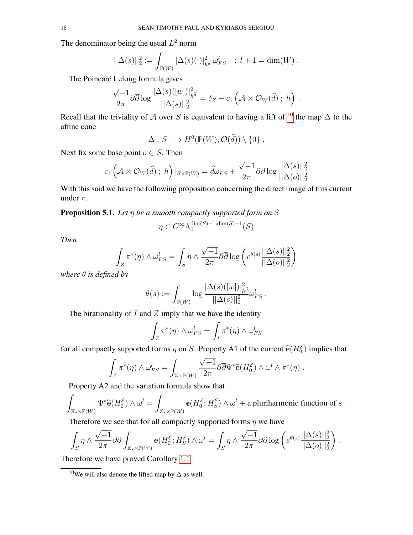The denominator being the usual  $L^2$  norm

$$
||\Delta(s)||_2^2 := \int_{\mathbb{P}(W)} |\Delta(s)(\cdot)|_{h^{\widehat{d}}}^2 \, \omega_{FS}^l \quad ; \ l+1 = \dim(W) \, .
$$

The Poincaré Lelong formula gives

$$
\frac{\sqrt{-1}}{2\pi}\partial\overline{\partial}\log\frac{|\Delta(s)([w])|^2_{h^{\widehat{d}}}}{||\Delta(s)||^2_2}=\delta_Z-c_1\left(\mathcal{A}\otimes\mathcal{O}_W(\widehat{d})\ ;\ h\right)\ .
$$

Recall that the triviality of A over S is equivalent to having a lift of <sup>[10](#page-17-0)</sup> the map  $\Delta$  to the affine cone

$$
\Delta: S \longrightarrow H^0(\mathbb{P}(W), \mathcal{O}(\widehat{d})) \setminus \{0\} .
$$

Next fix some base point  $o \in S$ . Then

$$
c_1\left(\mathcal{A}\otimes\mathcal{O}_W(\widehat{d})\; ;\; h\right)\vert_{S\times\mathbb{P}(W)}=\widehat{d}\omega_{FS}+\frac{\sqrt{-1}}{2\pi}\partial\overline{\partial}\log\frac{||\Delta(s)||_2^2}{||\Delta(o)||_2^2}
$$

With this said we have the following proposition concerning the direct image of this current under  $\pi$ .

Proposition 5.1. *Let* η *be a smooth compactly supported form on* S

$$
\eta\in C^\infty\Lambda_0^{\dim(S)-1,\dim(S)-1}(S)
$$

*Then*

$$
\int_{Z} \pi^*(\eta) \wedge \omega_{FS}^l = \int_{S} \eta \wedge \frac{\sqrt{-1}}{2\pi} \partial \overline{\partial} \log \left( e^{\theta(s)} \frac{||\Delta(s)||_2^2}{||\Delta(o)||_2^2} \right)
$$

*where* θ *is defined by*

$$
\theta(s) := \int_{\mathbb{P}(W)} \log \frac{|\Delta(s)([w])|^2_{h^{\widehat{d}}}}{||\Delta(s)||^2_2} \omega_{FS}^l.
$$

The birationality of  $I$  and  $Z$  imply that we have the identity

$$
\int_Z \pi^*(\eta) \wedge \omega_{FS}^l = \int_I \pi^*(\eta) \wedge \omega_{FS}^l
$$

for all compactly supported forms  $\eta$  on S. Property A1 of the current  $\hat{\mathbf{e}}(H_0^{\mathcal{E}})$  implies that

$$
\int_Z \pi^*(\eta) \wedge \omega_{FS}^l = \int_{\mathbb{X}\times\mathbb{P}(W)} \frac{\sqrt{-1}}{2\pi} \partial \overline{\partial} \Psi^* \widehat{\mathbf{e}}(H_0^{\mathcal{E}}) \wedge \omega^l \wedge \pi^*(\eta).
$$

Property A2 and the variation formula show that

$$
\int_{\mathbb{X}_s\times\mathbb{P}(W)}\Psi^*\widehat{\mathbf{e}}(H_0^{\mathcal{E}})\wedge\omega^l=\int_{\mathbb{X}_s\times\mathbb{P}(W)}\mathbf{e}(H_0^{\mathcal{E}};H_S^{\mathcal{E}})\wedge\omega^l+\text{a pluriharmonic function of }s.
$$

Therefore we see that for all compactly supported forms  $\eta$  we have

$$
\int_S \eta \wedge \frac{\sqrt{-1}}{2\pi} \partial \overline{\partial} \int_{\mathbb{X}_s \times \mathbb{P}(W)} \mathbf{e}(H_0^{\mathcal{E}}; H_S^{\mathcal{E}}) \wedge \omega^l = \int_S \eta \wedge \frac{\sqrt{-1}}{2\pi} \partial \overline{\partial} \log \left( e^{\theta(s)} \frac{||\Delta(s)||_2^2}{||\Delta(o)||_2^2} \right) .
$$

Therefore we have proved Corollary [1.1](#page-4-3) .

<span id="page-17-0"></span> $10$ We will also denote the lifted map by  $\Delta$  as well.